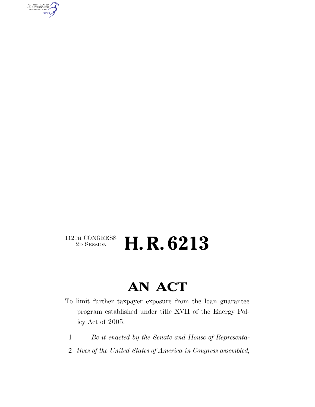AUTHENTICATED<br>U.S. GOVERNMENT<br>INFORMATION **GPO** 

#### $\begin{array}{c} \textbf{112TH CONGRESS} \\ \textbf{2D SESION} \end{array}$ 2D SESSION **H. R. 6213**

### **AN ACT**

- To limit further taxpayer exposure from the loan guarantee program established under title XVII of the Energy Policy Act of 2005.
	- 1 *Be it enacted by the Senate and House of Representa-*
	- 2 *tives of the United States of America in Congress assembled,*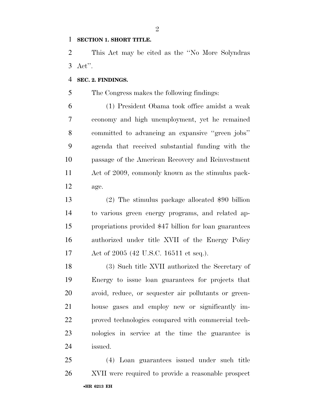#### **SECTION 1. SHORT TITLE.**

 This Act may be cited as the ''No More Solyndras Act''.

#### **SEC. 2. FINDINGS.**

The Congress makes the following findings:

 (1) President Obama took office amidst a weak economy and high unemployment, yet he remained committed to advancing an expansive ''green jobs'' agenda that received substantial funding with the passage of the American Recovery and Reinvestment Act of 2009, commonly known as the stimulus pack-age.

 (2) The stimulus package allocated \$90 billion to various green energy programs, and related ap- propriations provided \$47 billion for loan guarantees authorized under title XVII of the Energy Policy Act of 2005 (42 U.S.C. 16511 et seq.).

 (3) Such title XVII authorized the Secretary of Energy to issue loan guarantees for projects that avoid, reduce, or sequester air pollutants or green- house gases and employ new or significantly im- proved technologies compared with commercial tech- nologies in service at the time the guarantee is issued.

•**HR 6213 EH** (4) Loan guarantees issued under such title XVII were required to provide a reasonable prospect

 $\mathfrak{D}$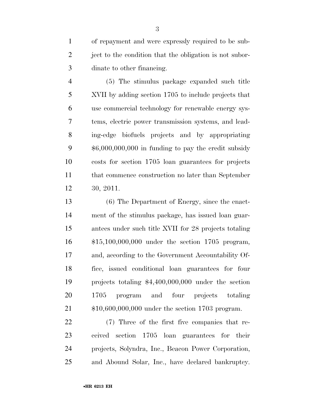of repayment and were expressly required to be sub-2 ject to the condition that the obligation is not subor-dinate to other financing.

 (5) The stimulus package expanded such title XVII by adding section 1705 to include projects that use commercial technology for renewable energy sys- tems, electric power transmission systems, and lead- ing-edge biofuels projects and by appropriating \$6,000,000,000 in funding to pay the credit subsidy costs for section 1705 loan guarantees for projects that commence construction no later than September 30, 2011.

 (6) The Department of Energy, since the enact- ment of the stimulus package, has issued loan guar- antees under such title XVII for 28 projects totaling \$15,100,000,000 under the section 1705 program, and, according to the Government Accountability Of- fice, issued conditional loan guarantees for four projects totaling \$4,400,000,000 under the section 1705 program and four projects totaling \$10,600,000,000 under the section 1703 program.

 (7) Three of the first five companies that re- ceived section 1705 loan guarantees for their projects, Solyndra, Inc., Beacon Power Corporation, and Abound Solar, Inc., have declared bankruptcy.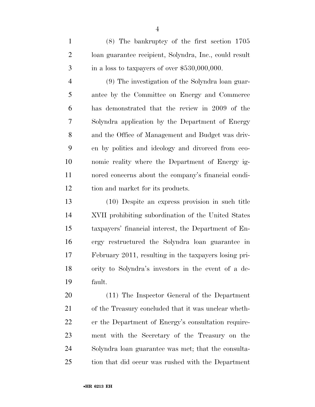(8) The bankruptcy of the first section 1705 loan guarantee recipient, Solyndra, Inc., could result  $\frac{3}{10}$  in a loss to taxpayers of over \$530,000,000.

 (9) The investigation of the Solyndra loan guar- antee by the Committee on Energy and Commerce has demonstrated that the review in 2009 of the Solyndra application by the Department of Energy and the Office of Management and Budget was driv- en by politics and ideology and divorced from eco- nomic reality where the Department of Energy ig- nored concerns about the company's financial condi-12 tion and market for its products.

 (10) Despite an express provision in such title XVII prohibiting subordination of the United States taxpayers' financial interest, the Department of En- ergy restructured the Solyndra loan guarantee in February 2011, resulting in the taxpayers losing pri- ority to Solyndra's investors in the event of a de-fault.

 (11) The Inspector General of the Department of the Treasury concluded that it was unclear wheth- er the Department of Energy's consultation require- ment with the Secretary of the Treasury on the Solyndra loan guarantee was met; that the consulta-tion that did occur was rushed with the Department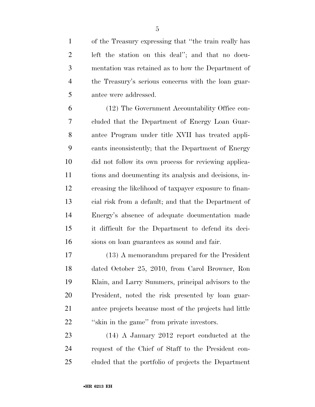of the Treasury expressing that ''the train really has left the station on this deal''; and that no docu- mentation was retained as to how the Department of the Treasury's serious concerns with the loan guar-

antee were addressed.

 (12) The Government Accountability Office con- cluded that the Department of Energy Loan Guar- antee Program under title XVII has treated appli- cants inconsistently; that the Department of Energy did not follow its own process for reviewing applica- tions and documenting its analysis and decisions, in- creasing the likelihood of taxpayer exposure to finan- cial risk from a default; and that the Department of Energy's absence of adequate documentation made it difficult for the Department to defend its deci-sions on loan guarantees as sound and fair.

 (13) A memorandum prepared for the President dated October 25, 2010, from Carol Browner, Ron Klain, and Larry Summers, principal advisors to the President, noted the risk presented by loan guar- antee projects because most of the projects had little ''skin in the game'' from private investors.

 (14) A January 2012 report conducted at the request of the Chief of Staff to the President con-cluded that the portfolio of projects the Department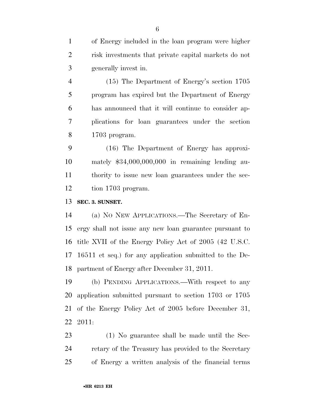of Energy included in the loan program were higher risk investments that private capital markets do not generally invest in.

 (15) The Department of Energy's section 1705 program has expired but the Department of Energy has announced that it will continue to consider ap- plications for loan guarantees under the section 1703 program.

 (16) The Department of Energy has approxi- mately \$34,000,000,000 in remaining lending au- thority to issue new loan guarantees under the sec-tion 1703 program.

**SEC. 3. SUNSET.** 

 (a) NO NEW APPLICATIONS.—The Secretary of En- ergy shall not issue any new loan guarantee pursuant to title XVII of the Energy Policy Act of 2005 (42 U.S.C. 16511 et seq.) for any application submitted to the De-partment of Energy after December 31, 2011.

 (b) PENDING APPLICATIONS.—With respect to any application submitted pursuant to section 1703 or 1705 of the Energy Policy Act of 2005 before December 31, 2011:

 (1) No guarantee shall be made until the Sec- retary of the Treasury has provided to the Secretary of Energy a written analysis of the financial terms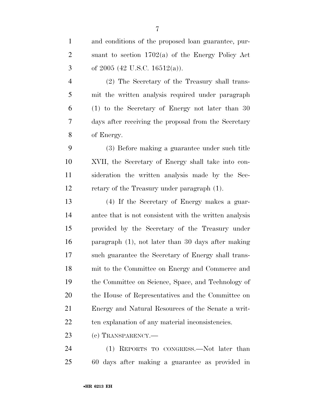and conditions of the proposed loan guarantee, pur- suant to section 1702(a) of the Energy Policy Act 3 of 2005 (42 U.S.C. 16512(a)). (2) The Secretary of the Treasury shall trans- mit the written analysis required under paragraph (1) to the Secretary of Energy not later than 30 days after receiving the proposal from the Secretary

of Energy.

 (3) Before making a guarantee under such title XVII, the Secretary of Energy shall take into con- sideration the written analysis made by the Sec-retary of the Treasury under paragraph (1).

 (4) If the Secretary of Energy makes a guar- antee that is not consistent with the written analysis provided by the Secretary of the Treasury under paragraph (1), not later than 30 days after making such guarantee the Secretary of Energy shall trans- mit to the Committee on Energy and Commerce and the Committee on Science, Space, and Technology of the House of Representatives and the Committee on Energy and Natural Resources of the Senate a writ-ten explanation of any material inconsistencies.

(c) TRANSPARENCY.—

 (1) REPORTS TO CONGRESS.—Not later than 60 days after making a guarantee as provided in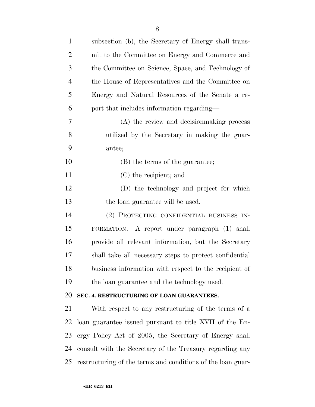| $\mathbf{1}$   | subsection (b), the Secretary of Energy shall trans-        |
|----------------|-------------------------------------------------------------|
| $\overline{2}$ | mit to the Committee on Energy and Commerce and             |
| 3              | the Committee on Science, Space, and Technology of          |
| $\overline{4}$ | the House of Representatives and the Committee on           |
| 5              | Energy and Natural Resources of the Senate a re-            |
| 6              | port that includes information regarding—                   |
| 7              | (A) the review and decision making process                  |
| 8              | utilized by the Secretary in making the guar-               |
| 9              | antee;                                                      |
| 10             | (B) the terms of the guarantee;                             |
| 11             | (C) the recipient; and                                      |
| 12             | (D) the technology and project for which                    |
| 13             | the loan guarantee will be used.                            |
| 14             | (2) PROTECTING CONFIDENTIAL BUSINESS IN-                    |
| 15             | FORMATION.—A report under paragraph (1) shall               |
| 16             | provide all relevant information, but the Secretary         |
| 17             | shall take all necessary steps to protect confidential      |
| 18             | business information with respect to the recipient of       |
| 19             | the loan guarantee and the technology used.                 |
| 20             | SEC. 4. RESTRUCTURING OF LOAN GUARANTEES.                   |
| 21             | With respect to any restructuring of the terms of a         |
| 22             | loan guarantee issued pursuant to title XVII of the En-     |
| 23             | ergy Policy Act of 2005, the Secretary of Energy shall      |
| 24             | consult with the Secretary of the Treasury regarding any    |
| 25             | restructuring of the terms and conditions of the loan guar- |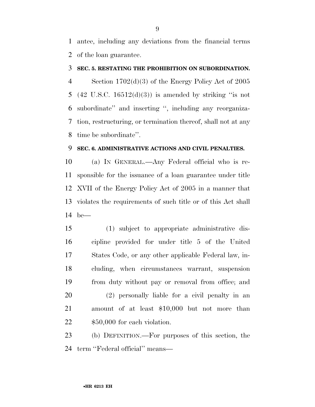antee, including any deviations from the financial terms of the loan guarantee.

#### **SEC. 5. RESTATING THE PROHIBITION ON SUBORDINATION.**

 Section 1702(d)(3) of the Energy Policy Act of 2005 5 (42 U.S.C.  $16512(d)(3)$ ) is amended by striking "is not subordinate'' and inserting '', including any reorganiza- tion, restructuring, or termination thereof, shall not at any time be subordinate''.

#### **SEC. 6. ADMINISTRATIVE ACTIONS AND CIVIL PENALTIES.**

 (a) IN GENERAL.—Any Federal official who is re- sponsible for the issuance of a loan guarantee under title XVII of the Energy Policy Act of 2005 in a manner that violates the requirements of such title or of this Act shall be—

 (1) subject to appropriate administrative dis- cipline provided for under title 5 of the United States Code, or any other applicable Federal law, in- cluding, when circumstances warrant, suspension from duty without pay or removal from office; and (2) personally liable for a civil penalty in an amount of at least \$10,000 but not more than  $$50,000$  for each violation.

 (b) DEFINITION.—For purposes of this section, the term ''Federal official'' means—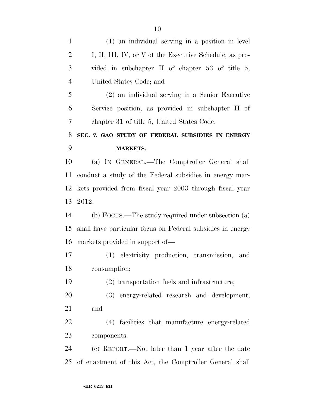| $\mathbf{1}$   | (1) an individual serving in a position in level           |
|----------------|------------------------------------------------------------|
| $\overline{2}$ | I, II, III, IV, or V of the Executive Schedule, as pro-    |
| 3              | vided in subchapter II of chapter 53 of title 5,           |
| $\overline{4}$ | United States Code; and                                    |
| 5              | (2) an individual serving in a Senior Executive            |
| 6              | Service position, as provided in subchapter II of          |
| 7              | chapter 31 of title 5, United States Code.                 |
| 8              | SEC. 7. GAO STUDY OF FEDERAL SUBSIDIES IN ENERGY           |
| 9              | <b>MARKETS.</b>                                            |
| 10             | (a) IN GENERAL.—The Comptroller General shall              |
| 11             | conduct a study of the Federal subsidies in energy mar-    |
| 12             | kets provided from fiscal year 2003 through fiscal year    |
| 13             | 2012.                                                      |
| 14             | (b) FOCUS.—The study required under subsection (a)         |
| 15             | shall have particular focus on Federal subsidies in energy |
| 16             | markets provided in support of—                            |
| $17\,$         | (1) electricity production, transmission,<br>and           |
| 18             | consumption;                                               |
| 19             | (2) transportation fuels and infrastructure;               |
| 20             | (3) energy-related research and development;               |
| 21             | and                                                        |
| 22             | (4) facilities that manufacture energy-related             |
| 23             | components.                                                |
| 24             | (c) REPORT.—Not later than 1 year after the date           |
| 25             | of enactment of this Act, the Comptroller General shall    |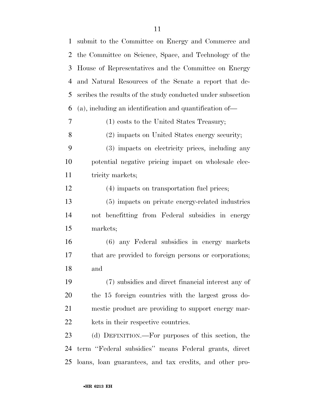| $\mathbf{1}$   | submit to the Committee on Energy and Commerce and          |
|----------------|-------------------------------------------------------------|
| 2              | the Committee on Science, Space, and Technology of the      |
| 3              | House of Representatives and the Committee on Energy        |
| 4              | and Natural Resources of the Senate a report that de-       |
| 5              | scribes the results of the study conducted under subsection |
| 6              | (a), including an identification and quantification of—     |
| $\overline{7}$ | (1) costs to the United States Treasury;                    |
| 8              | (2) impacts on United States energy security;               |
| 9              | (3) impacts on electricity prices, including any            |
| 10             | potential negative pricing impact on wholesale elec-        |
| 11             | tricity markets;                                            |
| 12             | (4) impacts on transportation fuel prices;                  |
| 13             | (5) impacts on private energy-related industries            |
| 14             | not benefitting from Federal subsidies in energy            |
| 15             | markets;                                                    |
| 16             | (6) any Federal subsidies in energy markets                 |
| 17             | that are provided to foreign persons or corporations;       |
| 18             | and                                                         |
| 19             | (7) subsidies and direct financial interest any of          |
| 20             | the 15 foreign countries with the largest gross do-         |
| 21             | mestic product are providing to support energy mar-         |
| 22             | kets in their respective countries.                         |
| 23             | (d) DEFINITION.—For purposes of this section, the           |
| 24             | term "Federal subsidies" means Federal grants, direct       |
| 25             | loans, loan guarantees, and tax credits, and other pro-     |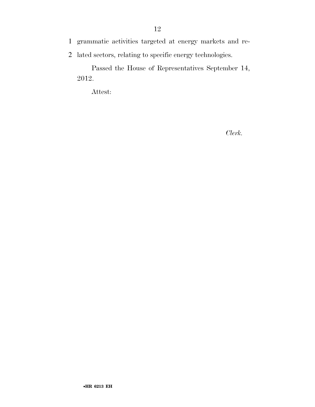2 lated sectors, relating to specific energy technologies.

Passed the House of Representatives September 14, 2012.

Attest:

*Clerk.*